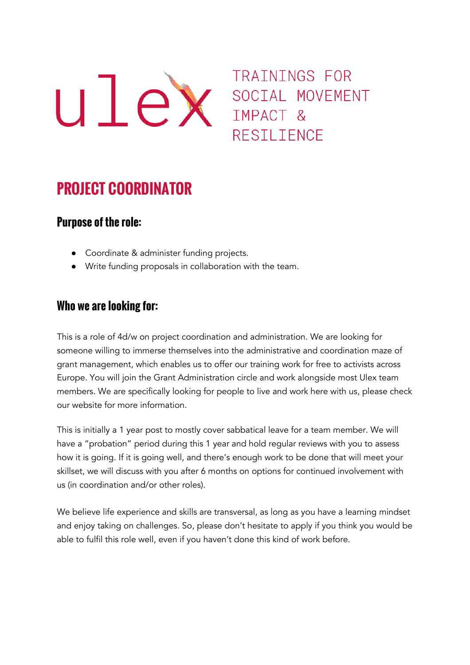

# TRAININGS FOR RESILIENCE

# **PROJECT COORDINATOR**

# **Purpose of the role:**

- Coordinate & administer funding projects.
- Write funding proposals in collaboration with the team.

# **Who we are looking for:**

This is a role of 4d/w on project coordination and administration. We are looking for someone willing to immerse themselves into the administrative and coordination maze of grant management, which enables us to offer our training work for free to activists across Europe. You will join the Grant Administration circle and work alongside most Ulex team members. We are specifically looking for people to live and work here with us, please check our website for more information.

This is initially a 1 year post to mostly cover sabbatical leave for a team member. We will have a "probation" period during this 1 year and hold regular reviews with you to assess how it is going. If it is going well, and there's enough work to be done that will meet your skillset, we will discuss with you after 6 months on options for continued involvement with us (in coordination and/or other roles).

We believe life experience and skills are transversal, as long as you have a learning mindset and enjoy taking on challenges. So, please don't hesitate to apply if you think you would be able to fulfil this role well, even if you haven't done this kind of work before.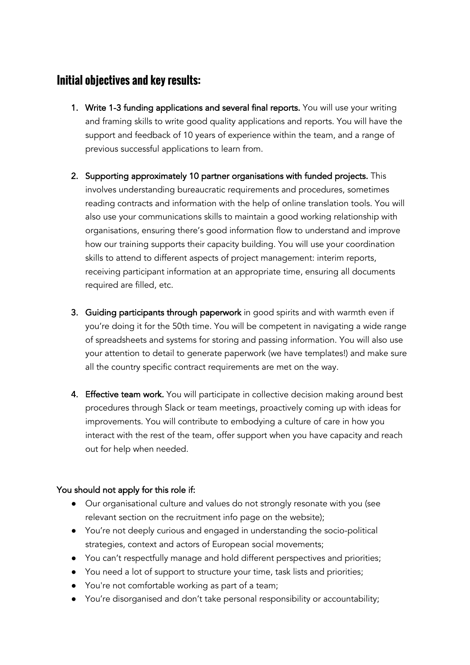# **Initial objectives and key results:**

- 1. Write 1-3 funding applications and several final reports. You will use your writing and framing skills to write good quality applications and reports. You will have the support and feedback of 10 years of experience within the team, and a range of previous successful applications to learn from.
- 2. Supporting approximately 10 partner organisations with funded projects. This involves understanding bureaucratic requirements and procedures, sometimes reading contracts and information with the help of online translation tools. You will also use your communications skills to maintain a good working relationship with organisations, ensuring there's good information flow to understand and improve how our training supports their capacity building. You will use your coordination skills to attend to different aspects of project management: interim reports, receiving participant information at an appropriate time, ensuring all documents required are filled, etc.
- 3. Guiding participants through paperwork in good spirits and with warmth even if you're doing it for the 50th time. You will be competent in navigating a wide range of spreadsheets and systems for storing and passing information. You will also use your attention to detail to generate paperwork (we have templates!) and make sure all the country specific contract requirements are met on the way.
- 4. Effective team work. You will participate in collective decision making around best procedures through Slack or team meetings, proactively coming up with ideas for improvements. You will contribute to embodying a culture of care in how you interact with the rest of the team, offer support when you have capacity and reach out for help when needed.

#### You should not apply for this role if:

- Our organisational culture and values do not strongly resonate with you (see relevant section on the recruitment info page on the website);
- You're not deeply curious and engaged in understanding the socio-political strategies, context and actors of European social movements;
- You can't respectfully manage and hold different perspectives and priorities;
- You need a lot of support to structure your time, task lists and priorities;
- You're not comfortable working as part of a team;
- You're disorganised and don't take personal responsibility or accountability;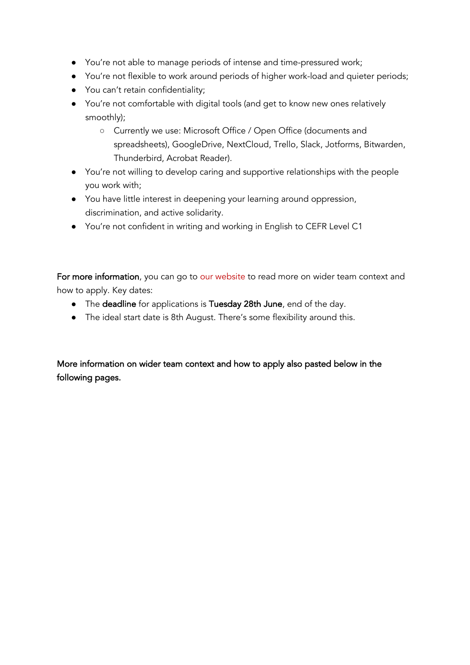- You're not able to manage periods of intense and time-pressured work;
- You're not flexible to work around periods of higher work-load and quieter periods;
- You can't retain confidentiality;
- You're not comfortable with digital tools (and get to know new ones relatively smoothly);
	- Currently we use: Microsoft Office / Open Office (documents and spreadsheets), GoogleDrive, NextCloud, Trello, Slack, Jotforms, Bitwarden, Thunderbird, Acrobat Reader).
- You're not willing to develop caring and supportive relationships with the people you work with;
- You have little interest in deepening your learning around oppression, discrimination, and active solidarity.
- You're not confident in writing and working in English to CEFR Level C1

For more information, you can go to [our website](https://ulexproject.org/working-with-ulex/) to read more on wider team context and how to apply. Key dates:

- The deadline for applications is Tuesday 28th June, end of the day.
- The ideal start date is 8th August. There's some flexibility around this.

More information on wider team context and how to apply also pasted below in the following pages.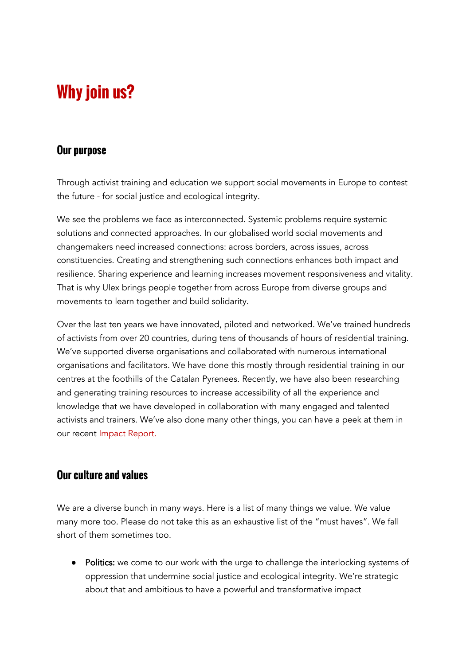# **Why join us?**

#### **Our purpose**

Through activist training and education we support social movements in Europe to contest the future - for social justice and ecological integrity.

We see the problems we face as interconnected. Systemic problems require systemic solutions and connected approaches. In our globalised world social movements and changemakers need increased connections: across borders, across issues, across constituencies. Creating and strengthening such connections enhances both impact and resilience. Sharing experience and learning increases movement responsiveness and vitality. That is why Ulex brings people together from across Europe from diverse groups and movements to learn together and build solidarity.

Over the last ten years we have innovated, piloted and networked. We've trained hundreds of activists from over 20 countries, during tens of thousands of hours of residential training. We've supported diverse organisations and collaborated with numerous international organisations and facilitators. We have done this mostly through residential training in our centres at the foothills of the Catalan Pyrenees. Recently, we have also been researching and generating training resources to increase accessibility of all the experience and knowledge that we have developed in collaboration with many engaged and talented activists and trainers. We've also done many other things, you can have a peek at them in our recent [Impact Report.](https://ulexproject.org/wp-content/uploads/2021/09/Ulex-impact-report-2017-20.pdf)

#### **Our culture and values**

We are a diverse bunch in many ways. Here is a list of many things we value. We value many more too. Please do not take this as an exhaustive list of the "must haves". We fall short of them sometimes too.

● Politics: we come to our work with the urge to challenge the interlocking systems of oppression that undermine social justice and ecological integrity. We're strategic about that and ambitious to have a powerful and transformative impact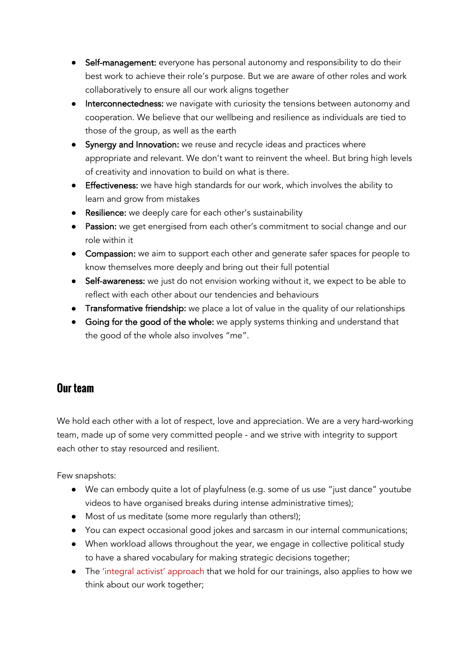- Self-management: everyone has personal autonomy and responsibility to do their best work to achieve their role's purpose. But we are aware of other roles and work collaboratively to ensure all our work aligns together
- Interconnectedness: we navigate with curiosity the tensions between autonomy and cooperation. We believe that our wellbeing and resilience as individuals are tied to those of the group, as well as the earth
- Synergy and Innovation: we reuse and recycle ideas and practices where appropriate and relevant. We don't want to reinvent the wheel. But bring high levels of creativity and innovation to build on what is there.
- Effectiveness: we have high standards for our work, which involves the ability to learn and grow from mistakes
- **Resilience:** we deeply care for each other's sustainability
- Passion: we get energised from each other's commitment to social change and our role within it
- Compassion: we aim to support each other and generate safer spaces for people to know themselves more deeply and bring out their full potential
- Self-awareness: we just do not envision working without it, we expect to be able to reflect with each other about our tendencies and behaviours
- Transformative friendship: we place a lot of value in the quality of our relationships
- Going for the good of the whole: we apply systems thinking and understand that the good of the whole also involves "me".

# **Our team**

We hold each other with a lot of respect, love and appreciation. We are a very hard-working team, made up of some very committed people - and we strive with integrity to support each other to stay resourced and resilient.

Few snapshots:

- We can embody quite a lot of playfulness (e.g. some of us use "just dance" youtube videos to have organised breaks during intense administrative times);
- Most of us meditate (some more regularly than others!);
- You can expect occasional good jokes and sarcasm in our internal communications;
- When workload allows throughout the year, we engage in collective political study to have a shared vocabulary for making strategic decisions together;
- The ['integral activist' approach](https://ulexproject.org/integral-activist-training/) that we hold for our trainings, also applies to how we think about our work together;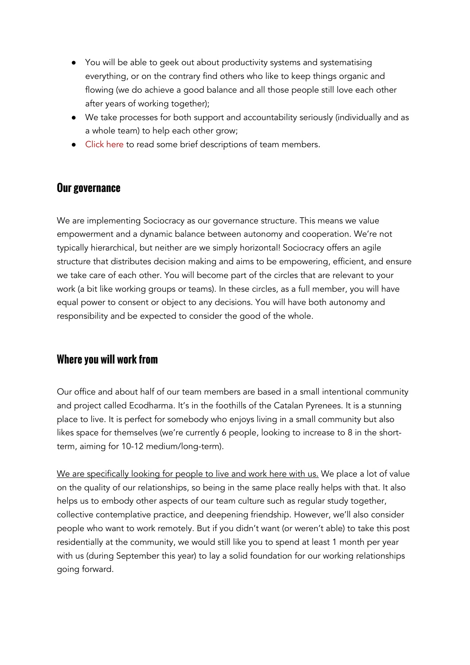- You will be able to geek out about productivity systems and systematising everything, or on the contrary find others who like to keep things organic and flowing (we do achieve a good balance and all those people still love each other after years of working together);
- We take processes for both support and accountability seriously (individually and as a whole team) to help each other grow;
- [Click here](https://ulexproject.org/who-we-are/) to read some brief descriptions of team members.

#### **Our governance**

We are implementing Sociocracy as our governance structure. This means we value empowerment and a dynamic balance between autonomy and cooperation. We're not typically hierarchical, but neither are we simply horizontal! Sociocracy offers an agile structure that distributes decision making and aims to be empowering, efficient, and ensure we take care of each other. You will become part of the circles that are relevant to your work (a bit like working groups or teams). In these circles, as a full member, you will have equal power to consent or object to any decisions. You will have both autonomy and responsibility and be expected to consider the good of the whole.

#### **Where you will work from**

Our office and about half of our team members are based in a small intentional community and project called Ecodharma. It's in the foothills of the Catalan Pyrenees. It is a stunning place to live. It is perfect for somebody who enjoys living in a small community but also likes space for themselves (we're currently 6 people, looking to increase to 8 in the shortterm, aiming for 10-12 medium/long-term).

We are specifically looking for people to live and work here with us. We place a lot of value on the quality of our relationships, so being in the same place really helps with that. It also helps us to embody other aspects of our team culture such as regular study together, collective contemplative practice, and deepening friendship. However, we'll also consider people who want to work remotely. But if you didn't want (or weren't able) to take this post residentially at the community, we would still like you to spend at least 1 month per year with us (during September this year) to lay a solid foundation for our working relationships going forward.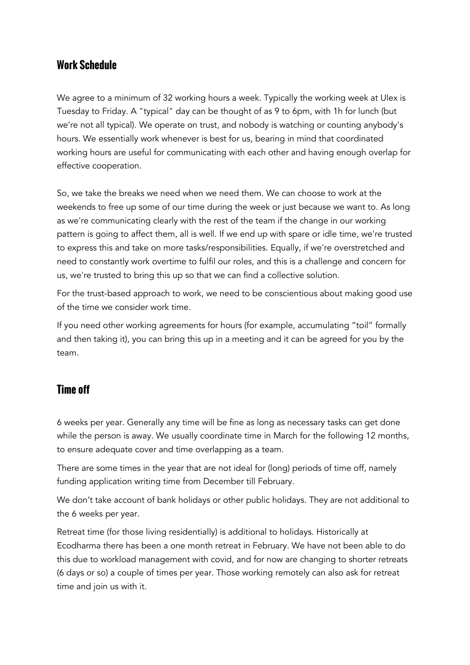### **Work Schedule**

We agree to a minimum of 32 working hours a week. Typically the working week at Ulex is Tuesday to Friday. A "typical" day can be thought of as 9 to 6pm, with 1h for lunch (but we're not all typical). We operate on trust, and nobody is watching or counting anybody's hours. We essentially work whenever is best for us, bearing in mind that coordinated working hours are useful for communicating with each other and having enough overlap for effective cooperation.

So, we take the breaks we need when we need them. We can choose to work at the weekends to free up some of our time during the week or just because we want to. As long as we're communicating clearly with the rest of the team if the change in our working pattern is going to affect them, all is well. If we end up with spare or idle time, we're trusted to express this and take on more tasks/responsibilities. Equally, if we're overstretched and need to constantly work overtime to fulfil our roles, and this is a challenge and concern for us, we're trusted to bring this up so that we can find a collective solution.

For the trust-based approach to work, we need to be conscientious about making good use of the time we consider work time.

If you need other working agreements for hours (for example, accumulating "toil" formally and then taking it), you can bring this up in a meeting and it can be agreed for you by the team.

#### **Time off**

6 weeks per year. Generally any time will be fine as long as necessary tasks can get done while the person is away. We usually coordinate time in March for the following 12 months, to ensure adequate cover and time overlapping as a team.

There are some times in the year that are not ideal for (long) periods of time off, namely funding application writing time from December till February.

We don't take account of bank holidays or other public holidays. They are not additional to the 6 weeks per year.

Retreat time (for those living residentially) is additional to holidays. Historically at Ecodharma there has been a one month retreat in February. We have not been able to do this due to workload management with covid, and for now are changing to shorter retreats (6 days or so) a couple of times per year. Those working remotely can also ask for retreat time and join us with it.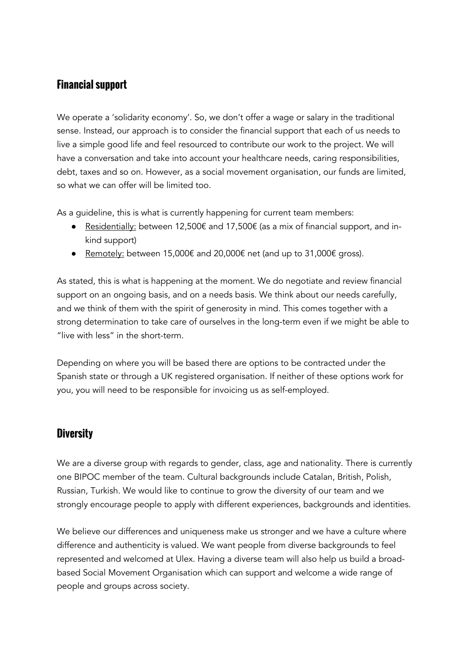# **Financial support**

We operate a 'solidarity economy'. So, we don't offer a wage or salary in the traditional sense. Instead, our approach is to consider the financial support that each of us needs to live a simple good life and feel resourced to contribute our work to the project. We will have a conversation and take into account your healthcare needs, caring responsibilities, debt, taxes and so on. However, as a social movement organisation, our funds are limited, so what we can offer will be limited too.

As a guideline, this is what is currently happening for current team members:

- Residentially: between 12,500€ and 17,500€ (as a mix of financial support, and inkind support)
- Remotely: between 15,000€ and 20,000€ net (and up to 31,000€ gross).

As stated, this is what is happening at the moment. We do negotiate and review financial support on an ongoing basis, and on a needs basis. We think about our needs carefully, and we think of them with the spirit of generosity in mind. This comes together with a strong determination to take care of ourselves in the long-term even if we might be able to "live with less" in the short-term.

Depending on where you will be based there are options to be contracted under the Spanish state or through a UK registered organisation. If neither of these options work for you, you will need to be responsible for invoicing us as self-employed.

#### **Diversity**

We are a diverse group with regards to gender, class, age and nationality. There is currently one BIPOC member of the team. Cultural backgrounds include Catalan, British, Polish, Russian, Turkish. We would like to continue to grow the diversity of our team and we strongly encourage people to apply with different experiences, backgrounds and identities.

We believe our differences and uniqueness make us stronger and we have a culture where difference and authenticity is valued. We want people from diverse backgrounds to feel represented and welcomed at Ulex. Having a diverse team will also help us build a broadbased Social Movement Organisation which can support and welcome a wide range of people and groups across society.